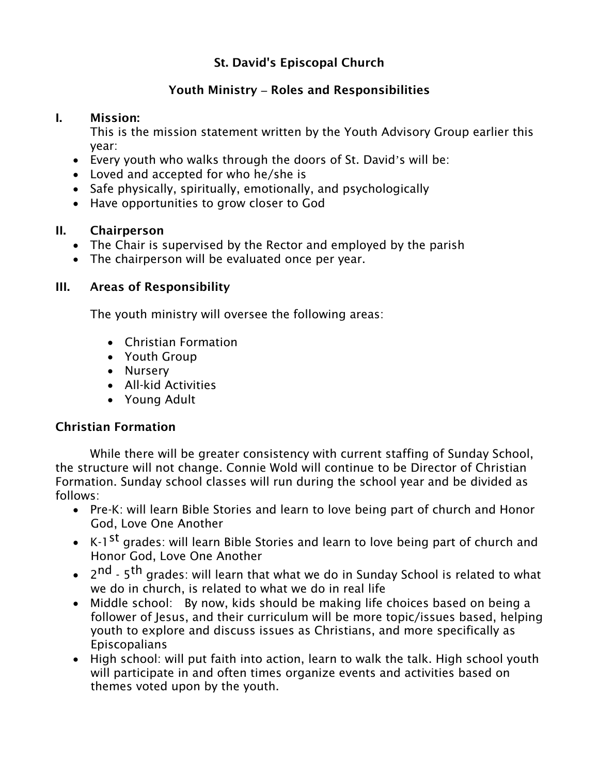## St. David's Episcopal Church

## Youth Ministry **–** Roles and Responsibilities

#### I. Mission:

This is the mission statement written by the Youth Advisory Group earlier this year:

- Every youth who walks through the doors of St. David's will be:
- Loved and accepted for who he/she is
- Safe physically, spiritually, emotionally, and psychologically
- Have opportunities to grow closer to God

#### II. Chairperson

- The Chair is supervised by the Rector and employed by the parish
- The chairperson will be evaluated once per year.

### III. Areas of Responsibility

The youth ministry will oversee the following areas:

- Christian Formation
- Youth Group
- Nursery
- All-kid Activities
- Young Adult

## Christian Formation

 While there will be greater consistency with current staffing of Sunday School, the structure will not change. Connie Wold will continue to be Director of Christian Formation. Sunday school classes will run during the school year and be divided as follows:

- Pre-K: will learn Bible Stories and learn to love being part of church and Honor God, Love One Another
- K-1<sup>st</sup> grades: will learn Bible Stories and learn to love being part of church and Honor God, Love One Another
- $\bullet$  2<sup>nd</sup> 5<sup>th</sup> grades: will learn that what we do in Sunday School is related to what we do in church, is related to what we do in real life
- Middle school: By now, kids should be making life choices based on being a follower of Jesus, and their curriculum will be more topic/issues based, helping youth to explore and discuss issues as Christians, and more specifically as Episcopalians
- High school: will put faith into action, learn to walk the talk. High school youth will participate in and often times organize events and activities based on themes voted upon by the youth.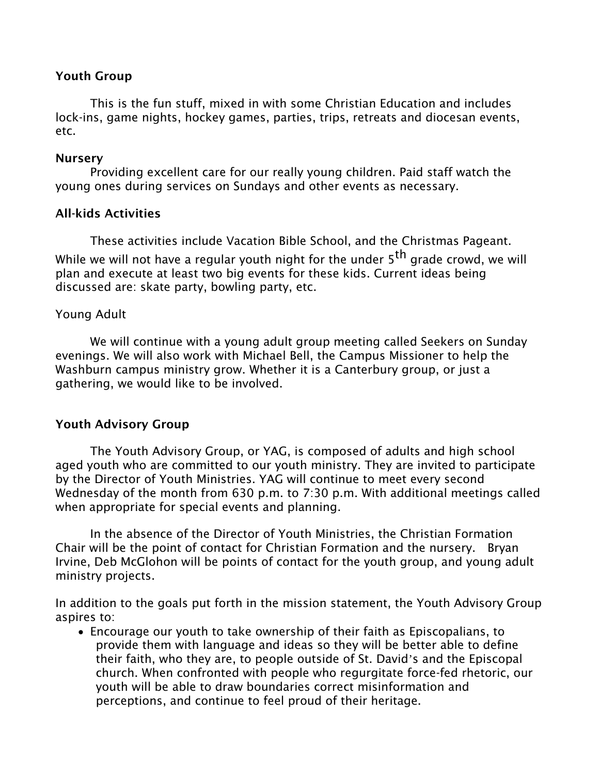#### Youth Group

 This is the fun stuff, mixed in with some Christian Education and includes lock-ins, game nights, hockey games, parties, trips, retreats and diocesan events, etc.

#### Nursery

 Providing excellent care for our really young children. Paid staff watch the young ones during services on Sundays and other events as necessary.

#### All-kids Activities

 These activities include Vacation Bible School, and the Christmas Pageant. While we will not have a regular youth night for the under  $5<sup>th</sup>$  grade crowd, we will plan and execute at least two big events for these kids. Current ideas being discussed are: skate party, bowling party, etc.

#### Young Adult

 We will continue with a young adult group meeting called Seekers on Sunday evenings. We will also work with Michael Bell, the Campus Missioner to help the Washburn campus ministry grow. Whether it is a Canterbury group, or just a gathering, we would like to be involved.

#### Youth Advisory Group

 The Youth Advisory Group, or YAG, is composed of adults and high school aged youth who are committed to our youth ministry. They are invited to participate by the Director of Youth Ministries. YAG will continue to meet every second Wednesday of the month from 630 p.m. to 7:30 p.m. With additional meetings called when appropriate for special events and planning.

 In the absence of the Director of Youth Ministries, the Christian Formation Chair will be the point of contact for Christian Formation and the nursery. Bryan Irvine, Deb McGlohon will be points of contact for the youth group, and young adult ministry projects.

In addition to the goals put forth in the mission statement, the Youth Advisory Group aspires to:

• Encourage our youth to take ownership of their faith as Episcopalians, to provide them with language and ideas so they will be better able to define their faith, who they are, to people outside of St. David's and the Episcopal church. When confronted with people who regurgitate force-fed rhetoric, our youth will be able to draw boundaries correct misinformation and perceptions, and continue to feel proud of their heritage.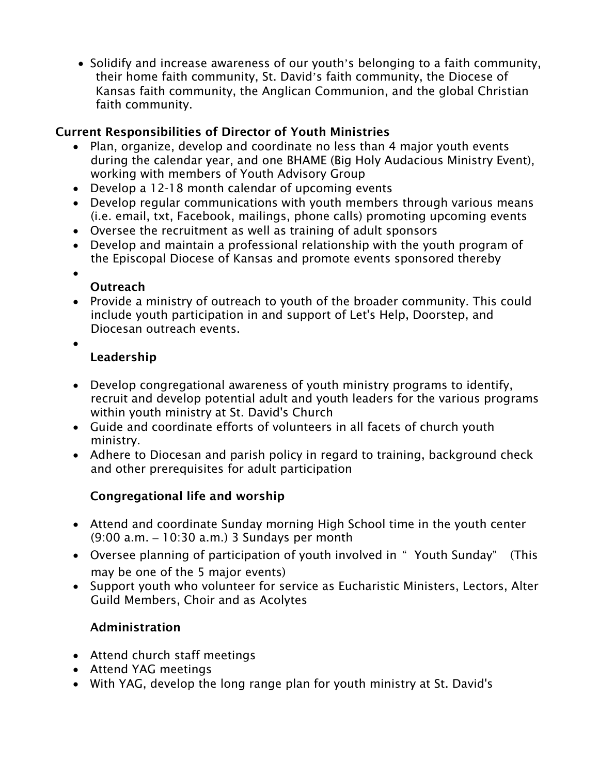• Solidify and increase awareness of our youth's belonging to a faith community, their home faith community, St. David's faith community, the Diocese of Kansas faith community, the Anglican Communion, and the global Christian faith community.

# Current Responsibilities of Director of Youth Ministries

- Plan, organize, develop and coordinate no less than 4 major youth events during the calendar year, and one BHAME (Big Holy Audacious Ministry Event), working with members of Youth Advisory Group
- Develop a 12-18 month calendar of upcoming events
- Develop regular communications with youth members through various means (i.e. email, txt, Facebook, mailings, phone calls) promoting upcoming events
- Oversee the recruitment as well as training of adult sponsors
- Develop and maintain a professional relationship with the youth program of the Episcopal Diocese of Kansas and promote events sponsored thereby
- $\bullet$ 
	- **Outreach**
- Provide a ministry of outreach to youth of the broader community. This could include youth participation in and support of Let's Help, Doorstep, and Diocesan outreach events.
- •

# Leadership

- Develop congregational awareness of youth ministry programs to identify, recruit and develop potential adult and youth leaders for the various programs within youth ministry at St. David's Church
- Guide and coordinate efforts of volunteers in all facets of church youth ministry.
- Adhere to Diocesan and parish policy in regard to training, background check and other prerequisites for adult participation

# Congregational life and worship

- Attend and coordinate Sunday morning High School time in the youth center (9:00 a.m. – 10:30 a.m.) 3 Sundays per month
- Oversee planning of participation of youth involved in " Youth Sunday" (This may be one of the 5 major events)
- Support youth who volunteer for service as Eucharistic Ministers, Lectors, Alter Guild Members, Choir and as Acolytes

# Administration

- Attend church staff meetings
- Attend YAG meetings
- With YAG, develop the long range plan for youth ministry at St. David's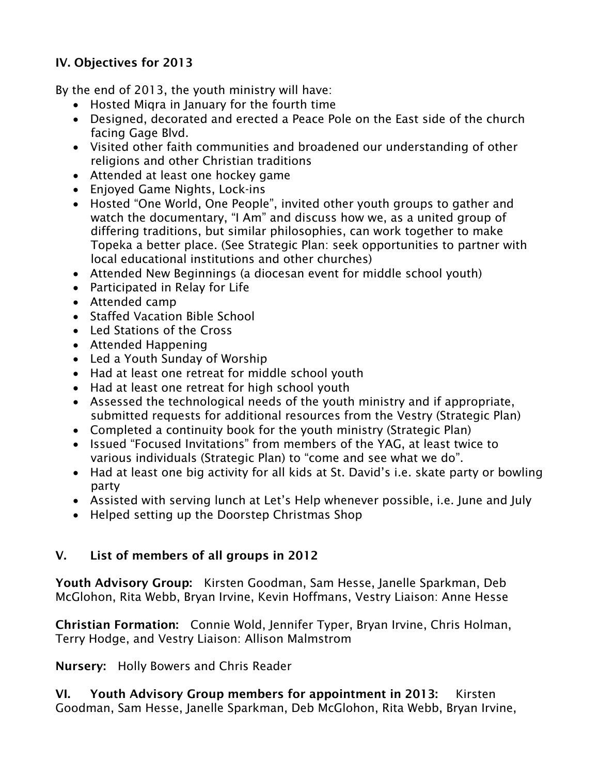## IV. Objectives for 2013

By the end of 2013, the youth ministry will have:

- Hosted Miqra in January for the fourth time
- Designed, decorated and erected a Peace Pole on the East side of the church facing Gage Blvd.
- Visited other faith communities and broadened our understanding of other religions and other Christian traditions
- Attended at least one hockey game
- Enjoyed Game Nights, Lock-ins
- Hosted "One World, One People", invited other youth groups to gather and watch the documentary, "I Am" and discuss how we, as a united group of differing traditions, but similar philosophies, can work together to make Topeka a better place. (See Strategic Plan: seek opportunities to partner with local educational institutions and other churches)
- Attended New Beginnings (a diocesan event for middle school youth)
- Participated in Relay for Life
- Attended camp
- Staffed Vacation Bible School
- Led Stations of the Cross
- Attended Happening
- Led a Youth Sunday of Worship
- Had at least one retreat for middle school youth
- Had at least one retreat for high school youth
- Assessed the technological needs of the youth ministry and if appropriate, submitted requests for additional resources from the Vestry (Strategic Plan)
- Completed a continuity book for the youth ministry (Strategic Plan)
- Issued "Focused Invitations" from members of the YAG, at least twice to various individuals (Strategic Plan) to "come and see what we do".
- Had at least one big activity for all kids at St. David's i.e. skate party or bowling party
- Assisted with serving lunch at Let's Help whenever possible, i.e. June and July
- Helped setting up the Doorstep Christmas Shop

## V. List of members of all groups in 2012

Youth Advisory Group: Kirsten Goodman, Sam Hesse, Janelle Sparkman, Deb McGlohon, Rita Webb, Bryan Irvine, Kevin Hoffmans, Vestry Liaison: Anne Hesse

Christian Formation: Connie Wold, Jennifer Typer, Bryan Irvine, Chris Holman, Terry Hodge, and Vestry Liaison: Allison Malmstrom

Nursery: Holly Bowers and Chris Reader

VI. Youth Advisory Group members for appointment in 2013: Kirsten Goodman, Sam Hesse, Janelle Sparkman, Deb McGlohon, Rita Webb, Bryan Irvine,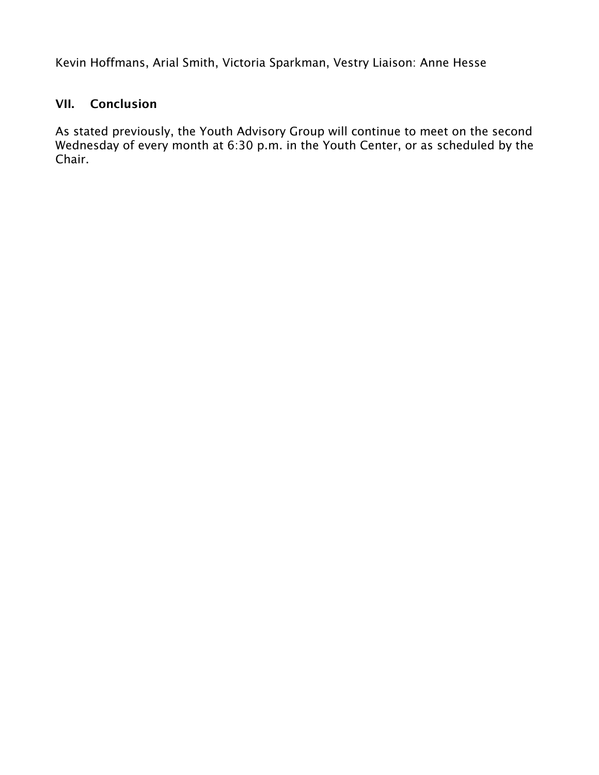Kevin Hoffmans, Arial Smith, Victoria Sparkman, Vestry Liaison: Anne Hesse

## VII. Conclusion

As stated previously, the Youth Advisory Group will continue to meet on the second Wednesday of every month at 6:30 p.m. in the Youth Center, or as scheduled by the Chair.